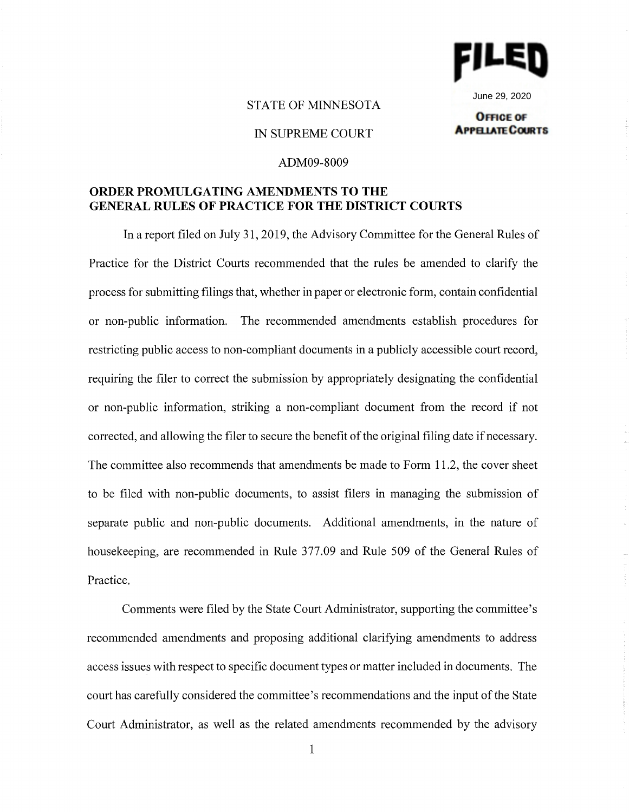

June 29, 2020**OFFICE OF** 

# STATE OF MINNESOTA

## IN SUPREME COURT

# **APPELIATE COURTS**

## ADM09-8009

# **ORDER PROMULGATING AMENDMENTS TO THE GENERAL RULES OF PRACTICE FOR THE DISTRICT COURTS**

In a report filed on July 31, 2019, the Advisory Committee for the General Rules of Practice for the District Courts recommended that the rules be amended to clarify the process for submitting filings that, whether in paper or electronic form, contain confidential or non-public information. The recommended amendments establish procedures for restricting public access to non-compliant documents in a publicly accessible court record, requiring the filer to correct the submission by appropriately designating the confidential or non-public information, striking a non-compliant document from the record if not corrected, and allowing the filer to secure the benefit of the original filing date if necessary. The committee also recommends that amendments be made to Form 11.2, the cover sheet to be filed with non-public documents, to assist filers in managing the submission of separate public and non-public documents. Additional amendments, in the nature of housekeeping, are recommended in Rule 377.09 and Rule 509 of the General Rules of Practice.

Comments were filed by the State Court Administrator, supporting the committee's recommended amendments and proposing additional clarifying amendments to address access issues with respect to specific document types or matter included in documents. The court has carefully considered the committee's recommendations and the input of the State Court Administrator, as well as the related amendments recommended by the advisory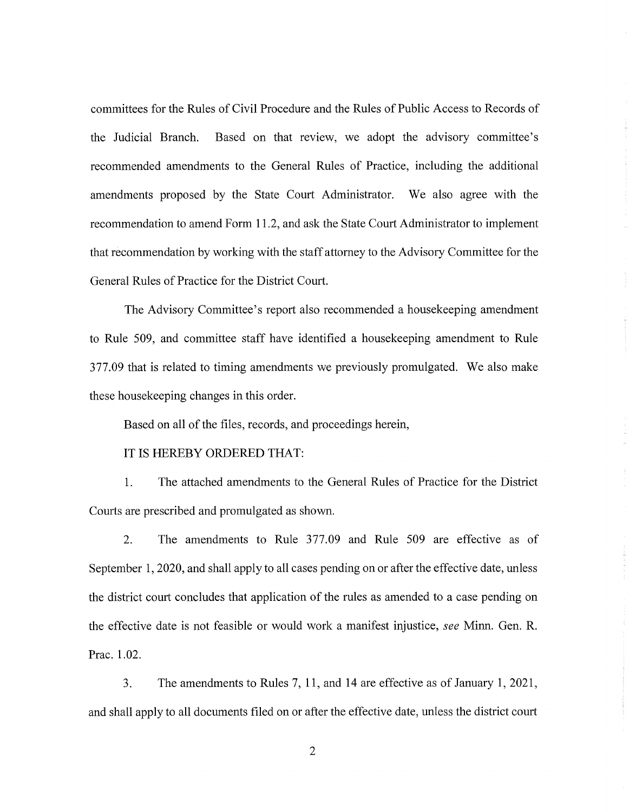committees for the Rules of Civil Procedure and the Rules of Public Access to Records of the Judicial Branch. Based on that review, we adopt the advisory committee's recommended amendments to the General Rules of Practice, including the additional amendments proposed by the State Court Administrator. We also agree with the recommendation to amend Form 11.2, and ask the State Court Administrator to implement that recommendation by working with the staff attorney to the Advisory Committee for the General Rules of Practice for the District Court.

The Advisory Committee's report also recommended a housekeeping amendment to Rule 509, and committee staff have identified a housekeeping amendment to Rule 377.09 that is related to timing amendments we previously promulgated. We also make these housekeeping changes in this order.

Based on all of the files, records, and proceedings herein,

## IT IS HEREBY ORDERED THAT:

1. The attached amendments to the General Rules of Practice for the District Courts are prescribed and promulgated as shown.

2. The amendments to Rule 377.09 and Rule 509 are effective as of September 1, 2020, and shall apply to all cases pending on or after the effective date, unless the district court concludes that application of the rules as amended to a case pending on the effective date is not feasible or would work a manifest injustice, *see* Minn. Gen. R. Prac. 1.02.

3. The amendments to Rules 7, 11, and 14 are effective as of January 1, 2021, and shall apply to all documents filed on or after the effective date, unless the district court

2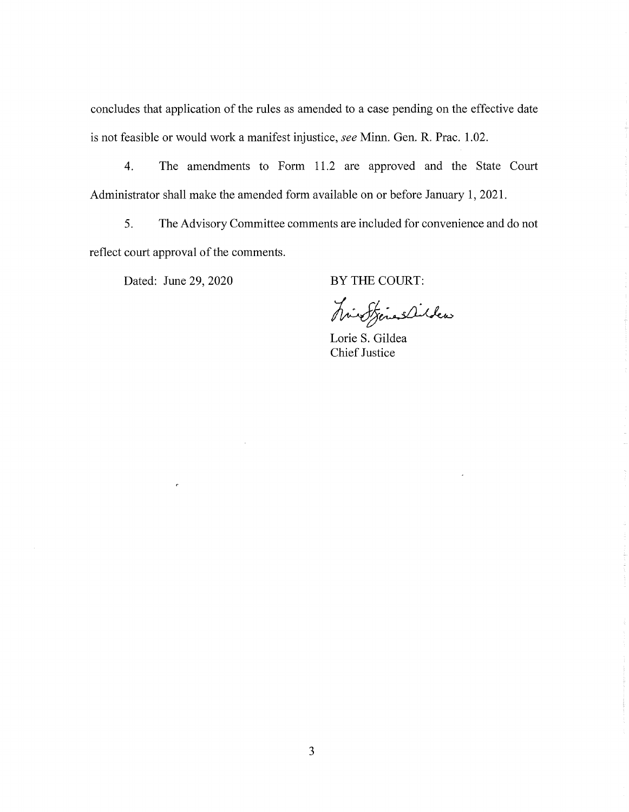concludes that application of the rules as amended to a case pending on the effective date is not feasible or would work a manifest injustice, *see* Minn. Gen. R. Prac. 1.02.

4. The amendments to Form 11.2 are approved and the State Court Administrator shall make the amended form available on or before January 1, 2021.

5. The Advisory Committee comments are included for convenience and do not reflect court approval of the comments.

Dated: June 29, 2020

 $\bar{z}$ 

BY THE COURT:

histories

Lorie S. Gildea Chief Justice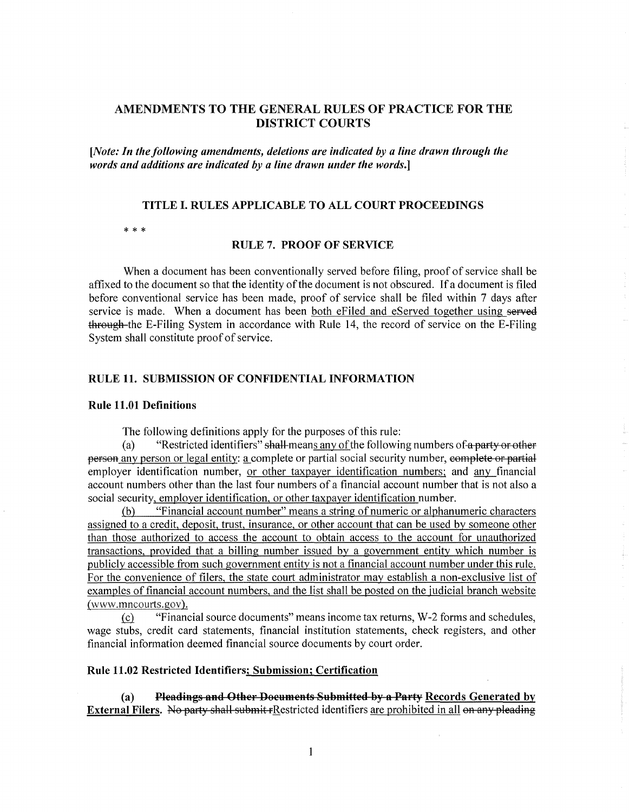# AMENDMENTS TO THE GENERAL RULES OF PRACTICE FOR THE DISTRICT COURTS

*[Note: In the following amendments, deletions are indicated by a line drawn through the words and additions are indicated* by *a line drawn under the words.]* 

## **TITLE** I. **RULES APPLICABLE TO ALL COURT PROCEEDINGS**

\* \* \*

#### **RULE** 7. **PROOF OF SERVICE**

When a document has been conventionally served before filing, proof of service shall be affixed to the document so that the identity of the document is not obscured. lfa document is filed before conventional service has been made, proof of service shall be filed within 7 days after service is made. When a document has been both eFiled and eServed together using served through the E-Filing System in accordance with Rule 14, the record of service on the E-Filing System shall constitute proof of service.

## **RULE 11. SUBMISSION OF CONFIDENTIAL INFORMATION**

#### **Rule 11.01 Definitions**

The following definitions apply for the purposes of this rule:

"Restricted identifiers" shall-means any of the following numbers of a party or other person any person or legal entity: a complete or partial social security number, complete or partial employer identification number, or other taxpayer identification numbers; and any financial account numbers other than the last four numbers of a financial account number that is not also a social security, employer identification, or other taxpayer identification number.

(b) "Financial account number" means a string of numeric or alphanumeric characters assigned to a credit, deposit, trust, insurance, or other account that can be used by someone other than those authorized to access the account to obtain access to the account for unauthorized transactions, provided that a billing number issued by a government entity which number is publicly accessible from such government entity is not a financial account number under this rule. For the convenience of filers, the state court administrator may establish a non-exclusive list of examples of financial account numbers, and the list shall be posted on the judicial branch website (www.mncourts.gov) .

.!£1 "Financial source documents" means income tax returns, W-2 forms and schedules, wage stubs, credit card statements, financial institution statements, check registers, and other financial information deemed financial source documents by court order.

## **Rule 11.02 Restricted Identifiers; Submission; Certification**

**(a) Pleadings and Other Doeuments Submitted by a Party Records Generated by External Filers.** No party shall submit rRestricted identifiers are prohibited in all on any pleading

 $\bar{1}$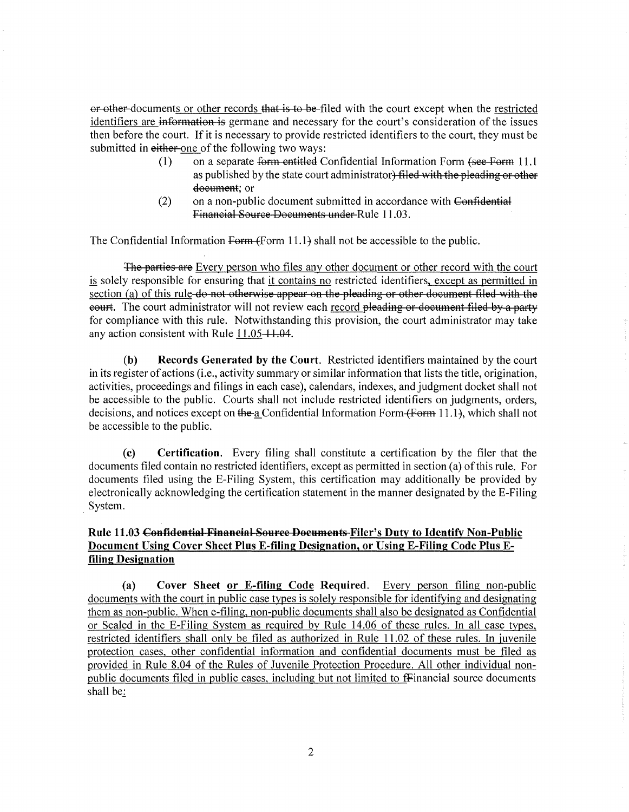or other documents or other records that is to be filed with the court except when the restricted identifiers are information is germane and necessary for the court's consideration of the issues then before the court. If it is necessary to provide restricted identifiers to the court, they must be submitted in either-one of the following two ways:

- (1) on a separate form entitled Confidential Information Form (see Form 11.1) as published by the state court administrator) filed with the pleading or other document; or
- (2) on a non-public document submitted in accordance with Confidential Financial Source Documents under Rule 11.03.

The Confidential Information Form  $\{Form 11.1\}$  shall not be accessible to the public.

The parties are Every person who files any other document or other record with the court is solely responsible for ensuring that it contains no restricted identifiers, except as permitted in section (a) of this rule do not otherwise appear on the pleading or other document filed with the eourt. The court administrator will not review each record pleading or document filed by a party for compliance with this rule. Notwithstanding this provision, the court administrator may take any action consistent with Rule  $11.05 - 11.04$ .

**(b) Records Generated by the Court.** Restricted identifiers maintained by the court in its register of actions (i.e., activity summary or similar information that lists the title, origination, activities, proceedings and filings in each case), calendars, indexes, and judgment docket shall not be accessible to the public. Courts shall not include restricted identifiers on judgments, orders, decisions, and notices except on the-a Confidential Information Form (Form 11.1), which shall not be accessible to the public.

**(c) Certification.** Every filing shall constitute a certification by the filer that the documents filed contain no restricted identifiers, except as permitted in section (a) of this rule. For documents filed using the E-Filing System, this certification may additionally be provided by electronically acknowledging the certification statement in the manner designated by the E-Filing . System.

# **Rule 11.03 Confidential Finaneial 8ouree Doeuments Filer's Duty to Identify Non-Public Document Using Cover Sheet Plus E-filing Designation, or Using E-Filing Code Plus Efiling Designation**

**(a) Cover Sheet or E-filing Code Required.** Every person filing non-public documents with the court in public case types is solely responsible for identifying and designating them as non-public. When e-filing, non-public documents shall also be designated as Confidential or Sealed in the E-Filing System as required by Rule 14.06 of these rules. In all case types, restricted identifiers shall only be filed as authorized in Rule 11.02 of these rules. In juvenile protection cases, other confidential information and confidential documents must be filed as provided in Rule 8.04 of the Rules of Juvenile Protection Procedure. All other individual nonpublic documents filed in public cases, including but not limited to fFinancial source documents shall be: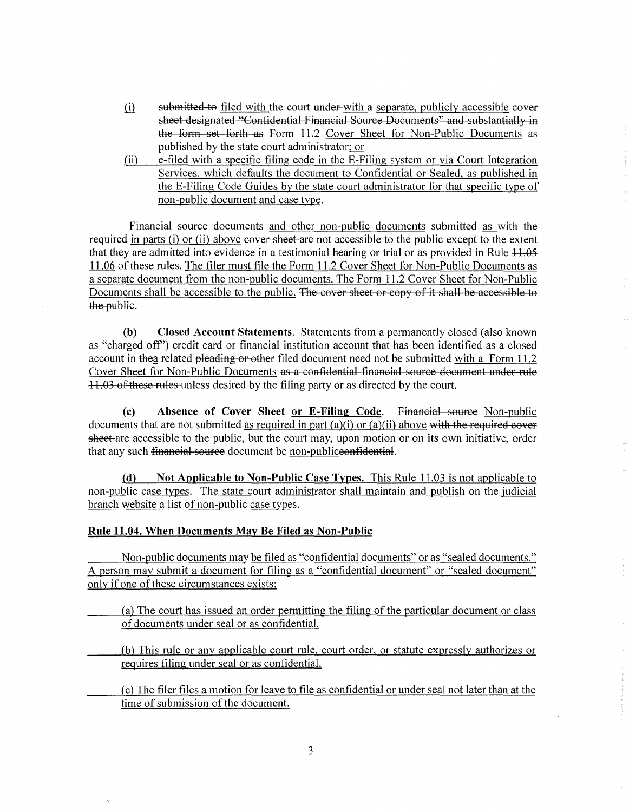- $(i)$ submitted to filed with the court under-with a separate, publicly accessible esheet designated "Confidential Financial Source Documents" and substantially in the form set forth as Form 11.2 Cover Sheet for Non-Public Documents as published by the state court administrator; or
- (ii) e-filed with a specific filing code in the E-Filing system or via Court Integration Services, which defaults the document to Confidential or Sealed, as published in the E-Filing Code Guides by the state court administrator for that specific type of non-public document and case type.

Financial source documents and other non-public documents submitted as with the required in parts (i) or (ii) above e<del>quer sheet</del> are not accessible to the public except to the extent that they are admitted into evidence in a testimonial hearing or trial or as provided in Rule  $+1.05$ 11.06 of these rules. The filer must file the Form 11.2 Cover Sheet for Non-Public Documents as a separate document from the non-public documents. The Form 11.2 Cover Sheet for Non-Public Documents shall be accessible to the public. The cover sheet or copy of it shall be accessible to the public.

**(b) Closed Account Statements.** Statements from a permanently closed (also known as "charged off'') credit card or financial institution account that has been identified as a closed account in thea related pleading or other filed document need not be submitted with a Form 11.2 Cover Sheet for Non-Public Documents as a confidential financial source document under rule 11.03 of these rules unless desired by the filing party or as directed by the court.

**(c) Absence of Cover Sheet or E-Filing Code.** Financial source Non-public documents that are not submitted as required in part  $(a)(i)$  or  $(a)(ii)$  above with the required cover sheet-are accessible to the public, but the court may, upon motion or on its own initiative, order that any such financial source document be non-publiceonfidential.

**(d) Not Applicable to Non-Public Case Types.** This Rule 11.03 is not applicable to non-public case types. The state court administrator shall maintain and publish on the judicial branch website a list of non-public case types.

## **Rule 11.04. When Documents May Be Filed as Non-Public**

Non-public documents may be filed as "confidential documents" or as "sealed documents." A person may submit a document for filing as a "confidential document" or "sealed document" only if one of these circumstances exists:

(a) The court has issued an order permitting the filing of the particular document or class of documents under seal or as confidential.

(b) This rule or any applicable court rule, court order, or statute expressly authorizes or requires filing under seal or as confidential.

(c) The filer files a motion for leave to file as confidential or under seal not later than at the time of submission of the document.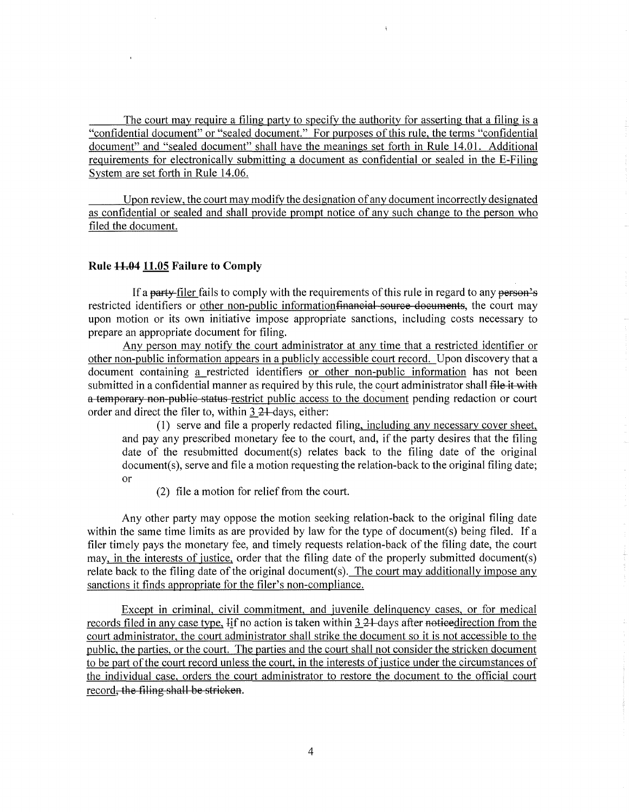The court may require a filing party to specify the authority for asserting that a filing is a "confidential document" or "sealed document." For purposes of this rule, the terms "confidential document" and "sealed document" shall have the meanings set forth in Rule 14.01. Additional requirements for electronically submitting a document as confidential or sealed in the E-Filing System are set forth in Rule 14.06.

Upon review, the court may modify the designation of any document incorrectly designated as confidential or sealed and shall provide prompt notice of any such change to the person who filed the document.

#### Rule  $11.04$  11.05 Failure to Comply

If a party-filer fails to comply with the requirements of this rule in regard to any person's restricted identifiers or other non-public information financial source documents, the court may upon motion or its own initiative impose appropriate sanctions, including costs necessary to prepare an appropriate document for filing.

Any person may notify the court administrator at any time that a restricted identifier or other non-public information appears in a publicly accessible court record. Upon discovery that a document containing a restricted identifiers or other non-public information has not been submitted in a confidential manner as required by this rule, the court administrator shall file it with a temporary non-public status restrict public access to the document pending redaction or court order and direct the filer to, within  $3.24$ -days, either:

(1) serve and file a properly redacted filing, including any necessary cover sheet, and pay any prescribed monetary fee to the court, and, if the party desires that the filing date of the resubmitted document(s) relates back to the filing date of the original document(s), serve and file a motion requesting the relation-back to the original filing date; or

(2) file a motion for relief from the court.

Any other party may oppose the motion seeking relation-back to the original filing date within the same time limits as are provided by law for the type of document(s) being filed. If a filer timely pays the monetary fee, and timely requests relation-back of the filing date, the court may, in the interests of justice, order that the filing date of the properly submitted document(s) relate back to the filing date of the original document(s). The court may additionally impose any sanctions it finds appropriate for the filer's non-compliance.

Except in criminal, civil commitment, and juvenile delinquency cases, or for medical records filed in any case type. If no action is taken within  $3.21$ -days after notieedirection from the court administrator, the court administrator shall strike the document so it is not accessible to the public, the parties, or the court. The parties and the court shall not consider the stricken document to be part of the court record unless the court, in the interests of justice under the circumstances of the individual case, orders the court administrator to restore the document to the official court record, the filing shall be stricken.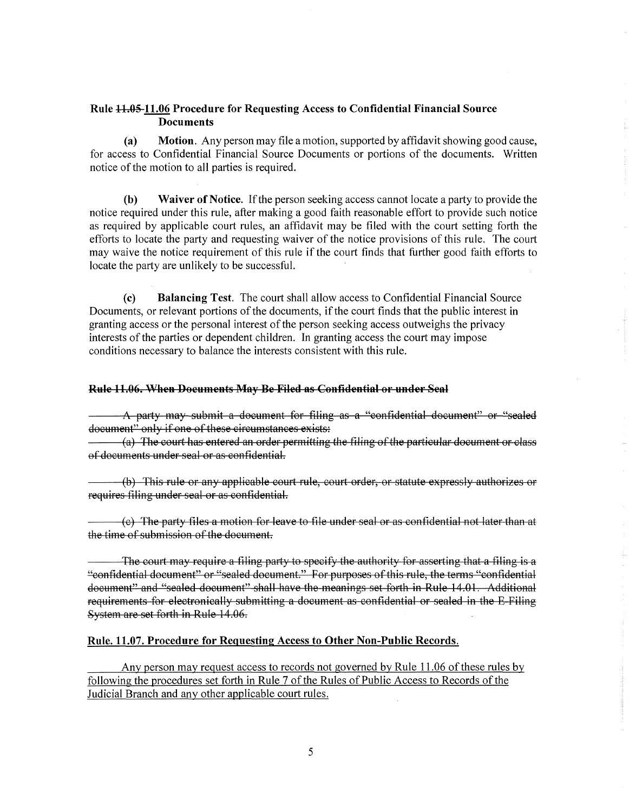# **Rule 1-h0§-11.06 Procedure for Requesting Access to Confidential Financial Source Documents**

**(a) Motion.** Any person may file a motion, supported by affidavit showing good cause, for access to Confidential Financial Source Documents or portions of the documents. Written notice of the motion to all parties is required.

**(b) Waiver of Notice.** If the person seeking access cannot locate a party to provide the notice required under this rule, after making a good faith reasonable effort to provide such notice as required by applicable court rules, an affidavit may be filed with the court setting forth the efforts to locate the party and requesting waiver of the notice provisions of this rule. The court may waive the notice requirement of this rule if the court finds that further good faith efforts to locate the party are unlikely to be successful.

**(c) Balancing Test.** The court shall allow access to Confidential Financial Source Documents, or relevant portions of the documents, if the court finds that the public interest in granting access or the personal interest of the person seeking access outweighs the privacy interests of the parties or dependent children. In granting access the court may impose conditions necessary to balance the interests consistent with this rule.

### **Rule 11.06. When Documents May Be Filed as Confidential or under Seal**

A party may submit a dooument for filing as a "oonfidential dooument" or "sealed document" only if one of these circumstances exists:

(a) The oourt has entered an order permitting the filing of the partioular dooument or olass of doouments under seal or as oonfidential.

(b) This rule or any applicable court rule, court order, or statute expressly authorizes or requires filing under seal or as confidential.

(o) The party files a motion for leave to file under seal or as oonfidential not later than at the time of submission of the document.

The court may require a filing party to specify the authority for asserting that a filing is a "confidential document" or "sealed document." For purposes of this rule, the terms "confidential dooument" and "sealed dooument" shall have the meanings set forth in Rule 14.01. Additional requirements for electronically submitting a document as confidential or sealed in the E-Filing System are set forth in Rule 14 .06.

## **Rule. 11.07. Procedure for Requesting Access to Other Non-Public Records.**

Any person may request access to records not governed by Rule 11.06 of these rules by following the procedures set forth in Rule 7 of the Rules of Public Access to Records of the Judicial Branch and any other applicable court rules.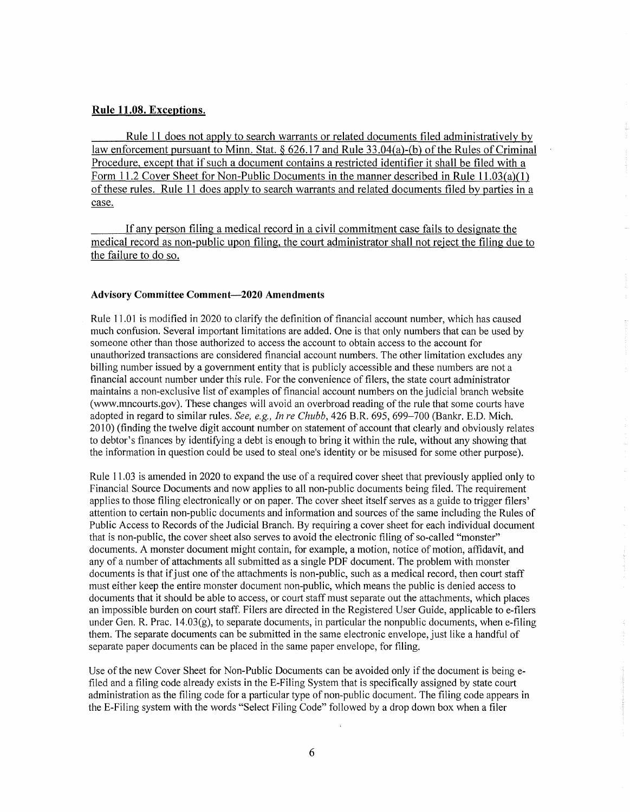## **Rule 11.08. Exceptions.**

Rule 11 does not apply to search warrants or related documents filed administratively by law enforcement pursuant to Minn. Stat. § 626.17 and Rule 33.04(a)-(b) of the Rules of Criminal Procedure, except that if such a document contains a restricted identifier it shall be filed with a Form 11.2 Cover Sheet for Non-Public Documents in the manner described in Rule 11.03(a)(1) of these rules. Rule 11 does apply to search warrants and related documents filed by parties in a case.

If any person filing a medical record in a civil commitment case fails to designate the medical record as non-public upon filing, the court administrator shall not reject the filing due to the failure to do so.

#### **Advisory Committee Comment-2020 Amendments**

Rule 11.01 is modified in 2020 to clarify the definition of financial account number, which has caused much confusion. Several important limitations are added. One is that only numbers that can be used by someone other than those authorized to access the account to obtain access to the account for unauthorized transactions are considered financial account numbers. The other limitation excludes any billing number issued by a government entity that is publicly accessible and these numbers are not a financial account number under this rule. For the convenience of filers, the state court administrator maintains a non-exclusive list of examples of financial account numbers on the judicial branch website (www.mncourts.gov). These changes will avoid an overbroad reading of the rule that some courts have adopted in regard to similar rules. *See, e.g., In re Chubb,* 426 B.R. 695, 699-700 (Bankr. E.D. Mich. 2010) (finding the twelve digit account number on statement of account that clearly and obviously relates to debtor's finances by identifying a debt is enough to bring it within the rule, without any showing that the information in question could be used to steal one's identity or be misused for some other purpose).

Rule 11.03 is amended in 2020 to expand the use of a required cover sheet that previously applied only to Financial Source Documents and now applies to all non-public documents being filed. The requirement applies to those filing electronically or on paper. The cover sheet itself serves as a guide to trigger filers' attention to certain non-public documents and information and sources of the same including the Rules of Public Access to Records of the Judicial Branch. By requiring a cover sheet for each individual document that is non-public, the cover sheet also serves to avoid the electronic filing of so-called "monster" documents. A monster document might contain, for example, a motion, notice of motion, affidavit, and any of a number of attachments all submitted as a single PDF document. The problem with monster documents is that if just one of the attachments is non-public, such as a medical record, then court staff must either keep the entire monster document non-public, which means the public is denied access to documents that it should be able to access, or court staff must separate out the attachments, which places an impossible burden on court staff. Filers are directed in the Registered User Guide, applicable toe-filers under Gen. R. Prac. 14.03(g), to separate documents, in particular the nonpublic documents, when e-filing them. The separate documents can be submitted in the same electronic envelope, just like a handful of separate paper documents can be placed in the same paper envelope, for filing.

Use of the new Cover Sheet for Non-Public Documents can be avoided only if the document is being efiled and a filing code already exists in the E-Filing System that is specifically assigned by state court administration as the filing code for a particular type of non-public document. The filing code appears in the E-Filing system with the words "Select Filing Code" followed by a drop down box when a filer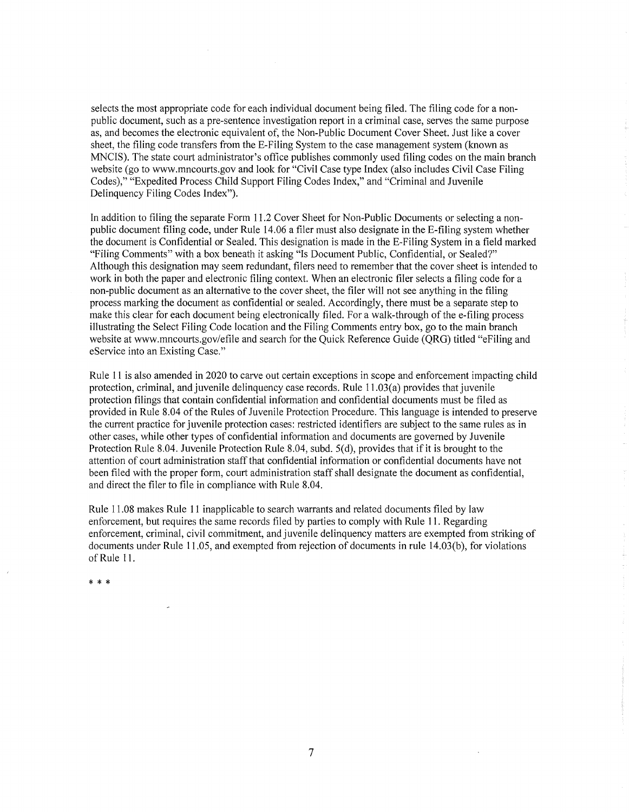selects the most appropriate code for each individual document being filed. The filing code for a nonpublic document, such as a pre-sentence investigation report in a criminal case, serves the same purpose as, and becomes the electronic equivalent of, the Non-Public Document Cover Sheet. Just like a cover sheet, the filing code transfers from the E-Filing System to the case management system (known as MNCIS). The state court administrator's office publishes commonly used filing codes on the main branch website (go to www.mncourts.gov and look for "Civil Case type Index (also includes Civil Case Filing Codes)," "Expedited Process Child Support Filing Codes Index," and "Criminal and Juvenile Delinquency Filing Codes Index").

In addition to filing the separate Form 11.2 Cover Sheet for Non-Public Documents or selecting a nonpublic document filing code, under Rule 14.06 a filer must also designate in the E-filing system whether the document is Confidential or Sealed. This designation is made in the E-Filing System in a field marked "Filing Comments" with a box beneath it asking "Is Document Public, Confidential, or Sealed?" Although this designation may seem redundant, filers need to remember that the cover sheet is intended to work in both the paper and electronic filing context. When an electronic filer selects a filing code for a non-public document as an alternative to the cover sheet, the filer will not see anything in the filing process marking the document as confidential or sealed. Accordingly, there must be a separate step to make this clear for each document being electronically filed. For a walk-through of the e-filing process illustrating the Select Filing Code location and the Filing Comments entry box, go to the main branch website at www.mncourts.gov/efile and search for the Quick Reference Guide (QRG) titled "eFiling and eService into an Existing Case."

Rule 11 is also amended in 2020 to carve out certain exceptions in scope and enforcement impacting child protection, criminal, and juvenile delinquency case records. Rule I l .03(a) provides that juvenile protection filings that contain confidential information and confidential documents must be filed as provided in Rule 8.04 of the Rules of Juvenile Protection Procedure. This language is intended to preserve the current practice for juvenile protection cases: restricted identifiers are subject to the same rules as in other cases, while other types of confidential information and documents are governed by Juvenile Protection Rule 8.04. Juvenile Protection Rule 8.04, subd. 5(d), provides that if it is brought to the attention of court administration staff that confidential information or confidential documents have not been filed with the proper form, court administration staff shall designate the document as confidential, and direct the filer to file in compliance with Rule 8.04.

Rule 11.08 makes Rule 11 inapplicable to search warrants and related documents filed by law enforcement, but requires the same records filed by parties to comply with Rule 11. Regarding enforcement, criminal, civil commitment, and juvenile delinquency matters are exempted from striking of documents under Rule 11.05, and exempted from rejection of documents in rule 14.03(b), for violations of Rule 11.

\* \* \*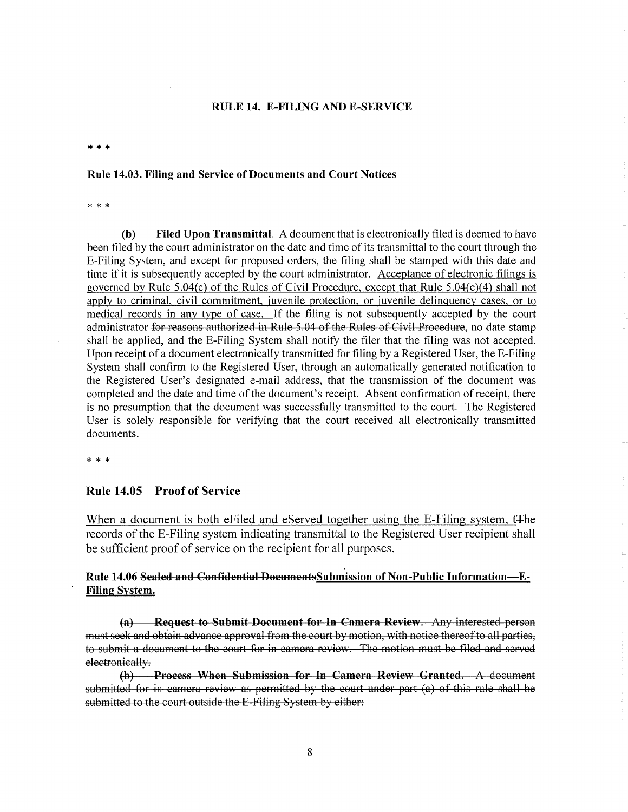#### **RULE 14. E-FILING AND E-SERVICE**

\*\*\*

#### **Rule 14.03. Filing and Service of Documents and Court Notices**

\* \* \*

**(b) Filed Upon Transmittal.** A document that is electronically filed is deemed to have been filed by the court administrator on the date and time of its transmittal to the court through the E-Filing System, and except for proposed orders, the filing shall be stamped with this date and time if it is subsequently accepted by the court administrator. Acceptance of electronic filings is governed by Rule 5.04(c) of the Rules of Civil Procedure, except that Rule 5.04(c)(4) shall not apply to criminal, civil commitment, juvenile protection, or juvenile delinquency cases, or to medical records in any type of case. If the filing is not subsequently accepted by the court administrator for reasons authorized in Rule 5 .04 of the Rules of Civil Procedure, no date stamp shall be applied, and the E-Filing System shall notify the filer that the filing was not accepted. Upon receipt of a document electronically transmitted for filing by a Registered User, the E-Filing System shall confirm to the Registered User, through an automatically generated notification to the Registered User's designated e-mail address, that the transmission of the document was completed and the date and time of the document's receipt. Absent confirmation of receipt, there is no presumption that the document was successfully transmitted to the court. The Registered User is solely responsible for verifying that the court received all electronically transmitted documents.

\* \* \*

## **Rule 14.05 Proof of Service**

When a document is both eFiled and eServed together using the E-Filing system, t<sub>The</sub> records of the E-Filing system indicating transmittal to the Registered User recipient shall be sufficient proof of service on the recipient for all purposes.

# Rule 14.06 Sealed and Confidential DocumentsSubmission of Non-Public Information-E-**Filing System.**

**(a)** Request to Submit Document for In Camera Review. Any interested person must seek and obtain advance approval from the court by motion, with notice thereof to all parties, to submit a document to the court for in camera review. The motion must be filed and served electronically.

**(b) Process When Submission for In Camera Review Granted.** A document submitted for in camera review as permitted by the court under part (a) of this rule shall be submitted to the court outside the E-Filing System by either: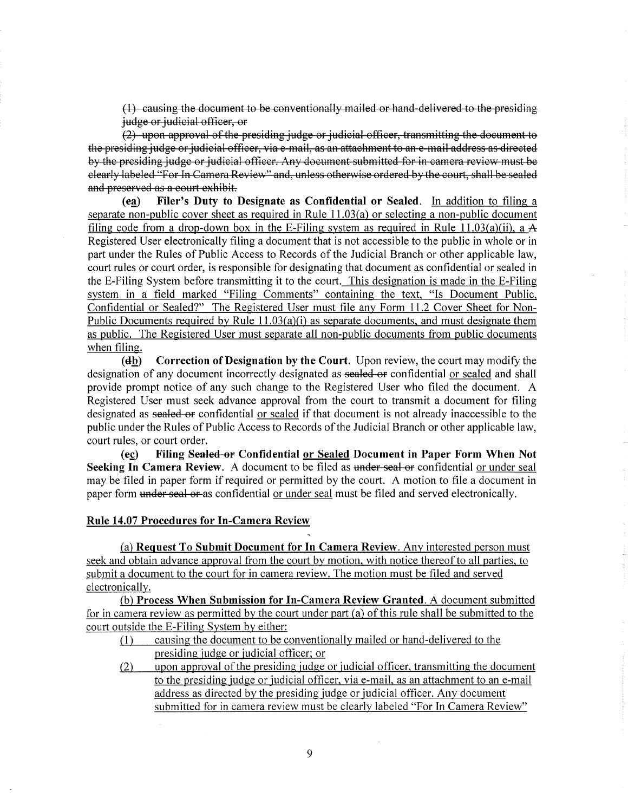(1) causing the document to be conventionally mailed or hand delivered to the presiding judge or judicial officer, or

(2) upon approval of the presiding judge or judicial officer, transmitting the document to the presiding judge or judicial officer, via e mail, as an attachment to an e mail address as directed by the presiding judge or judicial officer. Any document submitted for in camera review must be clearly labeled "For In Camera Review" and, unless otherwise ordered by the court, shall be sealed and preserved as a court exhibit.

**(ea)** Filer's Duty to Designate as Confidential or Sealed. In addition to filing a separate non-public cover sheet as required in Rule  $11.03(a)$  or selecting a non-public document filing code from a drop-down box in the E-Filing system as required in Rule 11.03(a)(ii), a A Registered User electronically filing a document that is not accessible to the public in whole or in part under the Rules of Public Access to Records of the Judicial Branch or other applicable law, court rules or court order, is responsible for designating that document as confidential or sealed in the E-Filing System before transmitting it to the court. This designation is made in the E-Filing system in a field marked "Filing Comments" containing the text, "Is Document Public, Confidential or Sealed?" The Registered User must file any Form 11.2 Cover Sheet for Non-Public Documents required by Rule  $11.03(a)(i)$  as separate documents, and must designate them as public. The Registered User must separate all non-public documents from public documents when filing.

**(db)** Correction of Designation by the Court. Upon review, the court may modify the designation of any document incorrectly designated as sealed or confidential or sealed and shall provide prompt notice of any such change to the Registered User who filed the document. A Registered User must seek advance approval from the court to transmit a document for filing designated as sealed or confidential or sealed if that document is not already inaccessible to the public under the Rules of Public Access to Records of the Judicial Branch or other applicable law, court rules, or court order.

**(ec)** Filing Sealed or Confidential or Sealed Document in Paper Form When Not **Seeking In Camera Review.** A document to be filed as under seal or confidential or under seal may be filed in paper form if required or permitted by the court. A motion to file a document in paper form under seal or as confidential or under seal must be filed and served electronically.

## **Rule 14.07 Procedures for In-Camera Review**

(a) **Request To Submit Document for** In **Camera Review.** Any interested person must seek and obtain advance approval from the court by motion, with notice thereof to all parties, to submit a document to the court for in camera review. The motion must be filed and served electronically.

(b) **Process When Submission for In-Camera Review Granted.** A document submitted for in camera review as permitted by the court under part (a) of this rule shall be submitted to the court outside the E-Filing System by either:

- (I) causing the document to be conventionally mailed or hand-delivered to the presiding judge or judicial officer; or
- (2) upon approval of the presiding judge or judicial officer, transmitting the document to the presiding judge or judicial officer, via e-mail, as an attachment to an e-mail address as directed by the presiding judge or judicial officer. Any document submitted for in camera review must be clearly labeled "For In Camera Review"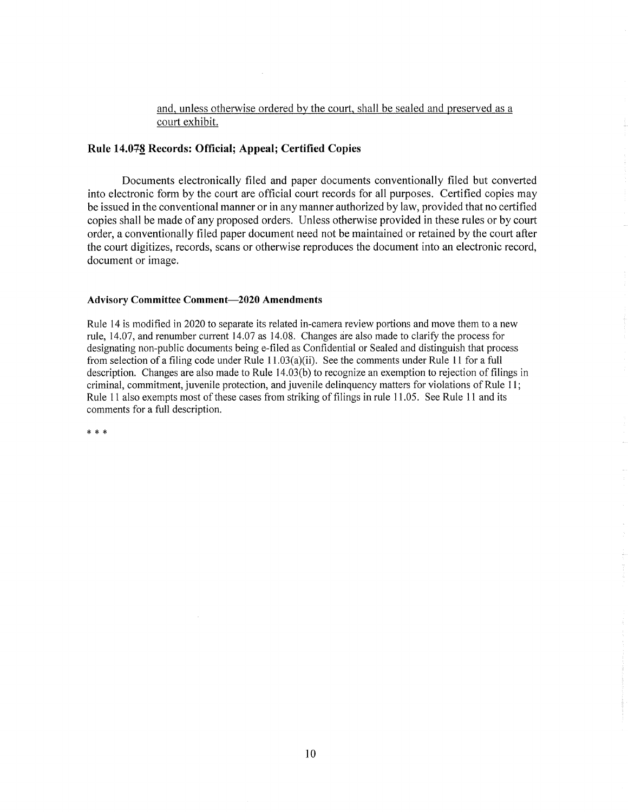# and, unless otherwise ordered by the court, shall be sealed and preserved as a court exhibit.

## **Rule 14.0+~ Records: Official; Appeal; Certified Copies**

Documents electronically filed and paper documents conventionally filed but converted into electronic form by the court are official court records for all purposes. Certified copies may be issued in the conventional manner or in any manner authorized by law, provided that no certified copies shall be made of any proposed orders. Unless otherwise provided in these rules or by court order, a conventionally filed paper document need not be maintained or retained by the court after the court digitizes, records, scans or otherwise reproduces the document into an electronic record, document or image.

## **Advisory Committee Comment-2020 Amendments**

Rule 14 is modified in 2020 to separate its related in-camera review portions and move them to a new rule, 14.07, and renumber current 14.07 as 14.08. Changes are also made to clarify the process for designating non-public documents being e-filed as Confidential or Sealed and distinguish that process from selection of a filing code under Rule l l.03(a)(ii). See the comments under Rule 11 for a full description. Changes are also made to Rule 14.03(b) to recognize an exemption to rejection of filings in criminal, commitment, juvenile protection, and juvenile delinquency matters for violations of Rule 11; Rule 11 also exempts most of these cases from striking of filings in rule 11.05. See Rule 11 and its comments for a full description.

\* \* \*